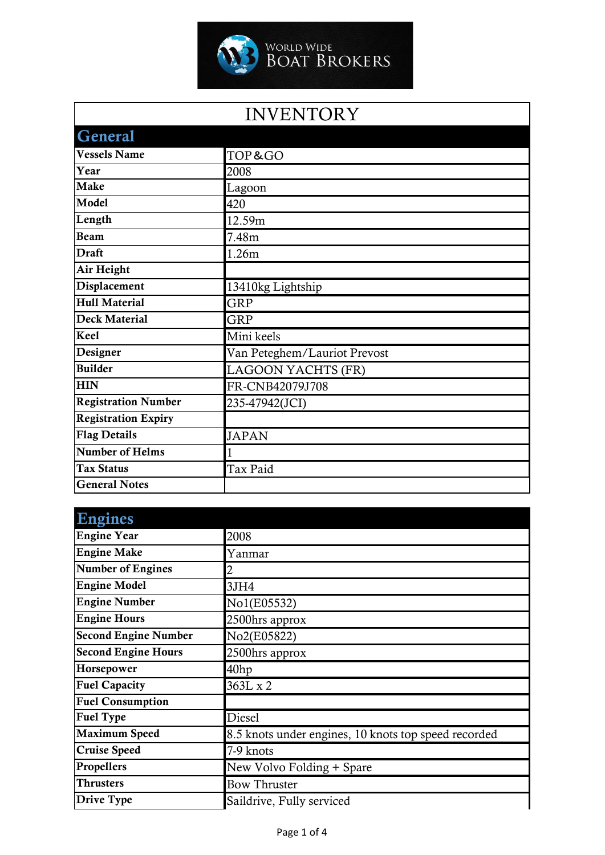

## INVENTORY

| <b>General</b>             |                              |
|----------------------------|------------------------------|
| <b>Vessels Name</b>        | TOP&GO                       |
| Year                       | 2008                         |
| <b>Make</b>                | Lagoon                       |
| Model                      | 420                          |
| Length                     | 12.59m                       |
| <b>Beam</b>                | 7.48m                        |
| <b>Draft</b>               | 1.26m                        |
| Air Height                 |                              |
| Displacement               | 13410kg Lightship            |
| <b>Hull Material</b>       | GRP                          |
| <b>Deck Material</b>       | <b>GRP</b>                   |
| <b>Keel</b>                | Mini keels                   |
| Designer                   | Van Peteghem/Lauriot Prevost |
| <b>Builder</b>             | <b>LAGOON YACHTS (FR)</b>    |
| <b>HIN</b>                 | FR-CNB42079J708              |
| <b>Registration Number</b> | 235-47942(JCI)               |
| <b>Registration Expiry</b> |                              |
| <b>Flag Details</b>        | <b>JAPAN</b>                 |
| <b>Number of Helms</b>     |                              |
| <b>Tax Status</b>          | Tax Paid                     |
| <b>General Notes</b>       |                              |

| <b>Engines</b>              |                                                      |
|-----------------------------|------------------------------------------------------|
| <b>Engine Year</b>          | 2008                                                 |
| <b>Engine Make</b>          | Yanmar                                               |
| <b>Number of Engines</b>    | 2                                                    |
| <b>Engine Model</b>         | 3JH4                                                 |
| <b>Engine Number</b>        | No1(E05532)                                          |
| <b>Engine Hours</b>         | 2500hrs approx                                       |
| <b>Second Engine Number</b> | No2(E05822)                                          |
| <b>Second Engine Hours</b>  | 2500hrs approx                                       |
| Horsepower                  | 40 <sub>hp</sub>                                     |
| <b>Fuel Capacity</b>        | 363L x 2                                             |
| <b>Fuel Consumption</b>     |                                                      |
| <b>Fuel Type</b>            | <b>Diesel</b>                                        |
| <b>Maximum Speed</b>        | 8.5 knots under engines, 10 knots top speed recorded |
| <b>Cruise Speed</b>         | 7-9 knots                                            |
| Propellers                  | New Volvo Folding + Spare                            |
| <b>Thrusters</b>            | <b>Bow Thruster</b>                                  |
| Drive Type                  | Saildrive, Fully serviced                            |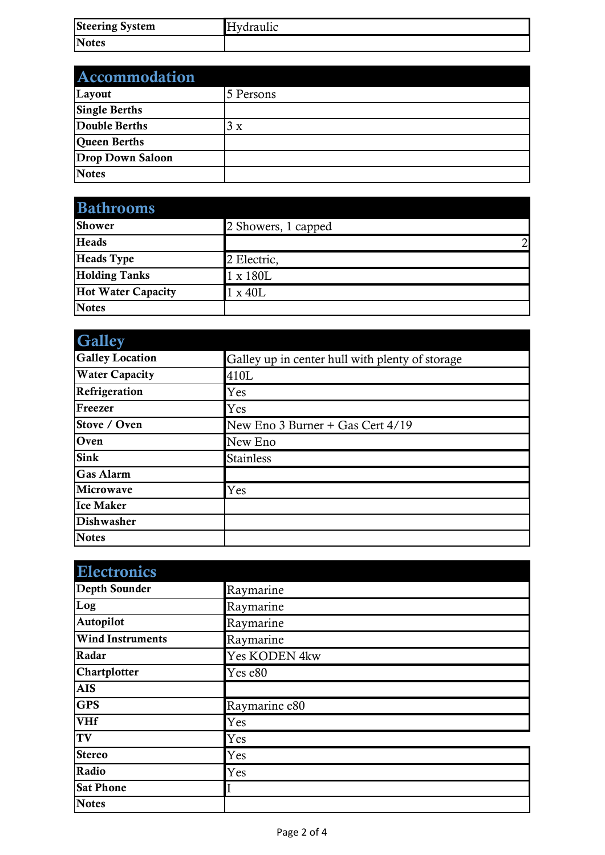| <b>Steering System</b> | Hydraulic |
|------------------------|-----------|
| <b>Notes</b>           |           |

| Accommodation           |           |
|-------------------------|-----------|
| Layout                  | 5 Persons |
| <b>Single Berths</b>    |           |
| Double Berths           | 3x        |
| Queen Berths            |           |
| <b>Drop Down Saloon</b> |           |
| <b>Notes</b>            |           |

| <b>Bathrooms</b>          |                     |
|---------------------------|---------------------|
| <b>Shower</b>             | 2 Showers, 1 capped |
| <b>Heads</b>              | 2 <sub>l</sub>      |
| <b>Heads</b> Type         | 2 Electric,         |
| <b>Holding Tanks</b>      | 1 x 180L            |
| <b>Hot Water Capacity</b> | $1 \times 40L$      |
| <b>Notes</b>              |                     |

| <b>Galley</b>          |                                                 |
|------------------------|-------------------------------------------------|
| <b>Galley Location</b> | Galley up in center hull with plenty of storage |
| <b>Water Capacity</b>  | 410L                                            |
| Refrigeration          | Yes                                             |
| Freezer                | Yes                                             |
| Stove / Oven           | New Eno 3 Burner + Gas Cert 4/19                |
| Oven                   | New Eno                                         |
| <b>Sink</b>            | <b>Stainless</b>                                |
| <b>Gas Alarm</b>       |                                                 |
| Microwave              | Yes                                             |
| <b>Ice Maker</b>       |                                                 |
| Dishwasher             |                                                 |
| <b>Notes</b>           |                                                 |

| <b>Electronics</b>      |               |
|-------------------------|---------------|
| Depth Sounder           | Raymarine     |
| Log                     | Raymarine     |
| Autopilot               | Raymarine     |
| <b>Wind Instruments</b> | Raymarine     |
| Radar                   | Yes KODEN 4kw |
| Chartplotter            | Yes e80       |
| <b>AIS</b>              |               |
| <b>GPS</b>              | Raymarine e80 |
| <b>VHf</b>              | Yes           |
| <b>TV</b>               | Yes           |
| <b>Stereo</b>           | Yes           |
| Radio                   | Yes           |
| <b>Sat Phone</b>        |               |
| <b>Notes</b>            |               |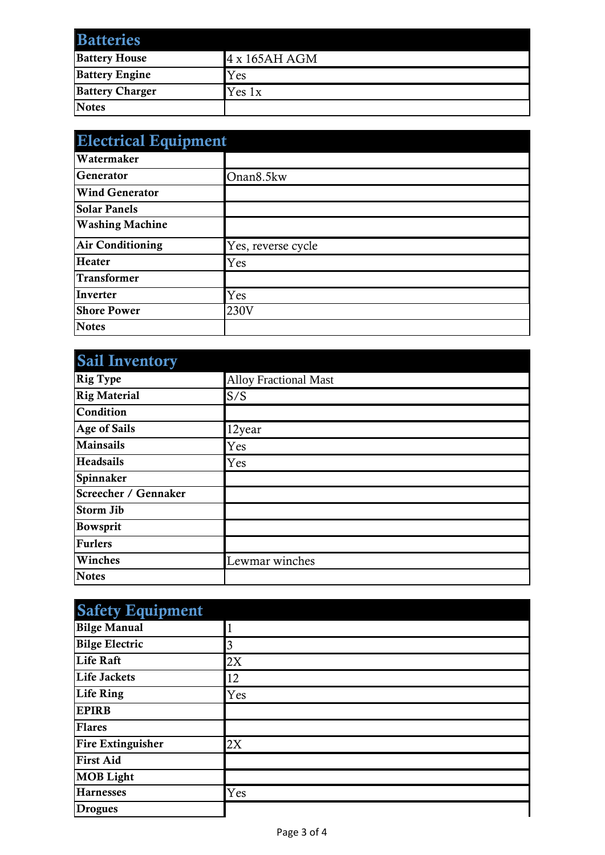| <b>Batteries</b>       |               |
|------------------------|---------------|
| <b>Battery House</b>   | 4 x 165AH AGM |
| <b>Battery Engine</b>  | Yes           |
| <b>Battery Charger</b> | Yes 1x        |
| <b>Notes</b>           |               |

| <b>Electrical Equipment</b> |                    |
|-----------------------------|--------------------|
| Watermaker                  |                    |
| <b>Generator</b>            | Onan8.5kw          |
| <b>Wind Generator</b>       |                    |
| <b>Solar Panels</b>         |                    |
| <b>Washing Machine</b>      |                    |
| <b>Air Conditioning</b>     | Yes, reverse cycle |
| <b>Heater</b>               | Yes                |
| <b>Transformer</b>          |                    |
| Inverter                    | Yes                |
| <b>Shore Power</b>          | 230V               |
| <b>Notes</b>                |                    |

| <b>Sail Inventory</b> |                              |
|-----------------------|------------------------------|
| <b>Rig Type</b>       | <b>Alloy Fractional Mast</b> |
| <b>Rig Material</b>   | S/S                          |
| Condition             |                              |
| Age of Sails          | 12year                       |
| <b>Mainsails</b>      | Yes                          |
| <b>Headsails</b>      | Yes                          |
| Spinnaker             |                              |
| Screecher / Gennaker  |                              |
| <b>Storm Jib</b>      |                              |
| Bowsprit              |                              |
| <b>Furlers</b>        |                              |
| Winches               | Lewmar winches               |
| <b>Notes</b>          |                              |

| <b>Safety Equipment</b>  |     |
|--------------------------|-----|
| <b>Bilge Manual</b>      |     |
| <b>Bilge Electric</b>    | 3   |
| <b>Life Raft</b>         | 2X  |
| Life Jackets             | 12  |
| <b>Life Ring</b>         | Yes |
| <b>EPIRB</b>             |     |
| <b>Flares</b>            |     |
| <b>Fire Extinguisher</b> | 2X  |
| <b>First Aid</b>         |     |
| <b>MOB Light</b>         |     |
| <b>Harnesses</b>         | Yes |
| <b>Drogues</b>           |     |